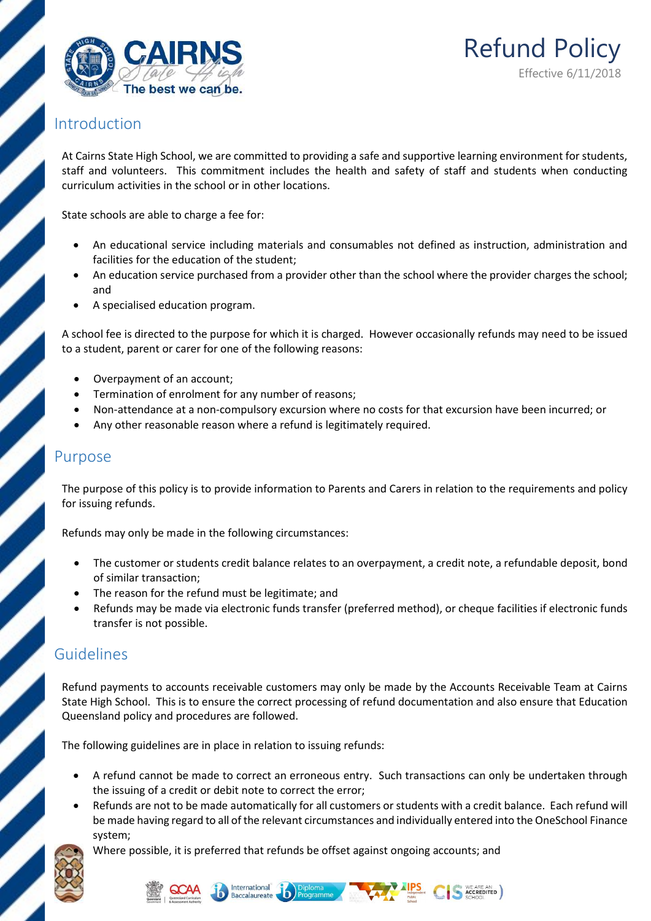

## Introduction

At Cairns State High School, we are committed to providing a safe and supportive learning environment for students, staff and volunteers. This commitment includes the health and safety of staff and students when conducting curriculum activities in the school or in other locations.

State schools are able to charge a fee for:

- An educational service including materials and consumables not defined as instruction, administration and facilities for the education of the student;
- An education service purchased from a provider other than the school where the provider charges the school; and
- A specialised education program.

A school fee is directed to the purpose for which it is charged. However occasionally refunds may need to be issued to a student, parent or carer for one of the following reasons:

- Overpayment of an account;
- Termination of enrolment for any number of reasons;
- Non-attendance at a non-compulsory excursion where no costs for that excursion have been incurred; or
- Any other reasonable reason where a refund is legitimately required.

## Purpose

The purpose of this policy is to provide information to Parents and Carers in relation to the requirements and policy for issuing refunds.

Refunds may only be made in the following circumstances:

- The customer or students credit balance relates to an overpayment, a credit note, a refundable deposit, bond of similar transaction;
- The reason for the refund must be legitimate; and
- Refunds may be made via electronic funds transfer (preferred method), or cheque facilities if electronic funds transfer is not possible.

## Guidelines

Refund payments to accounts receivable customers may only be made by the Accounts Receivable Team at Cairns State High School. This is to ensure the correct processing of refund documentation and also ensure that Education Queensland policy and procedures are followed.

The following guidelines are in place in relation to issuing refunds:

- A refund cannot be made to correct an erroneous entry. Such transactions can only be undertaken through the issuing of a credit or debit note to correct the error;
- Refunds are not to be made automatically for all customers or students with a credit balance. Each refund will be made having regard to all of the relevant circumstances and individually entered into the OneSchool Finance system;

Where possible, it is preferred that refunds be offset against ongoing accounts; and



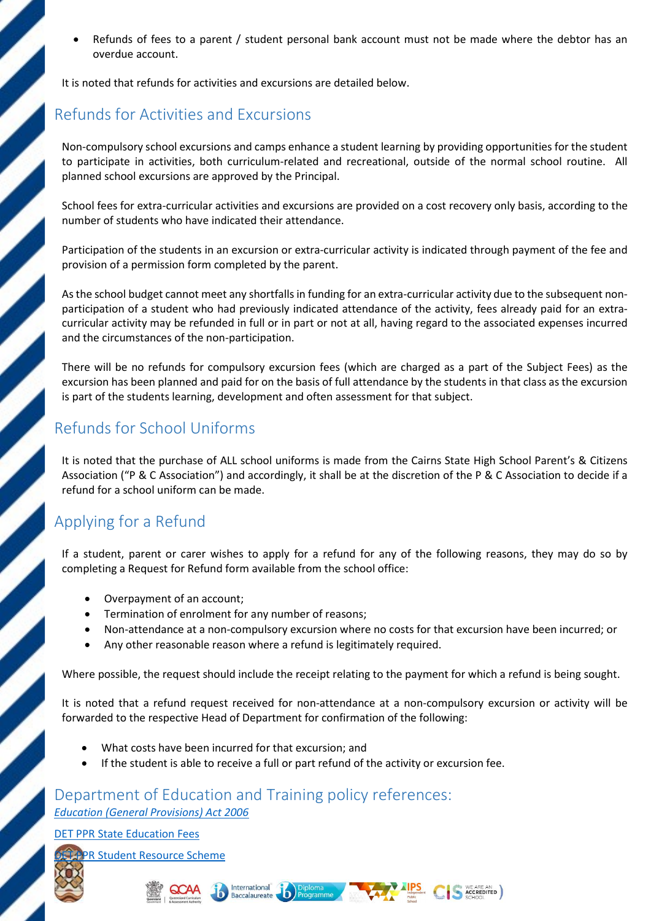Refunds of fees to a parent / student personal bank account must not be made where the debtor has an overdue account.

It is noted that refunds for activities and excursions are detailed below.

# Refunds for Activities and Excursions

Non-compulsory school excursions and camps enhance a student learning by providing opportunities for the student to participate in activities, both curriculum-related and recreational, outside of the normal school routine. All planned school excursions are approved by the Principal.

School fees for extra-curricular activities and excursions are provided on a cost recovery only basis, according to the number of students who have indicated their attendance.

Participation of the students in an excursion or extra-curricular activity is indicated through payment of the fee and provision of a permission form completed by the parent.

As the school budget cannot meet any shortfalls in funding for an extra-curricular activity due to the subsequent nonparticipation of a student who had previously indicated attendance of the activity, fees already paid for an extracurricular activity may be refunded in full or in part or not at all, having regard to the associated expenses incurred and the circumstances of the non-participation.

There will be no refunds for compulsory excursion fees (which are charged as a part of the Subject Fees) as the excursion has been planned and paid for on the basis of full attendance by the students in that class as the excursion is part of the students learning, development and often assessment for that subject.

# Refunds for School Uniforms

It is noted that the purchase of ALL school uniforms is made from the Cairns State High School Parent's & Citizens Association ("P & C Association") and accordingly, it shall be at the discretion of the P & C Association to decide if a refund for a school uniform can be made.

# Applying for a Refund

If a student, parent or carer wishes to apply for a refund for any of the following reasons, they may do so by completing a Request for Refund form available from the school office:

- Overpayment of an account;
- Termination of enrolment for any number of reasons;
- Non-attendance at a non-compulsory excursion where no costs for that excursion have been incurred; or
- Any other reasonable reason where a refund is legitimately required.

Where possible, the request should include the receipt relating to the payment for which a refund is being sought.

It is noted that a refund request received for non-attendance at a non-compulsory excursion or activity will be forwarded to the respective Head of Department for confirmation of the following:

- What costs have been incurred for that excursion; and
- If the student is able to receive a full or part refund of the activity or excursion fee.

Diploma<br>Programme

### Department of Education and Training policy references: Education (General Provisions) Act 2006

International

**Baccalaureate** 

DET PPR State Education Fees

R Student Resource Scheme



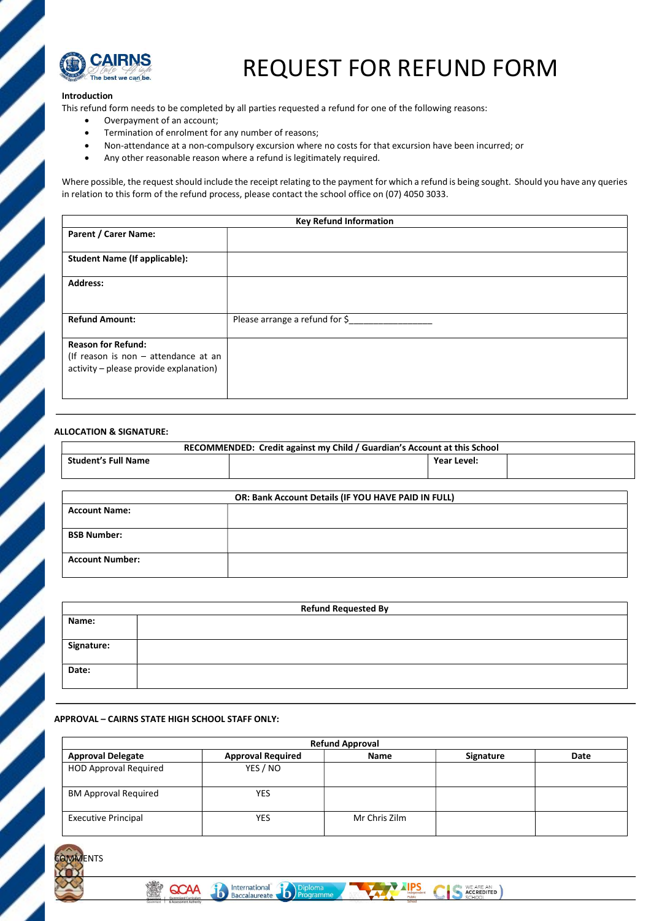

# REQUEST FOR REFUND FORM

#### Introduction

This refund form needs to be completed by all parties requested a refund for one of the following reasons:

- Overpayment of an account;
- Termination of enrolment for any number of reasons;
- Non-attendance at a non-compulsory excursion where no costs for that excursion have been incurred; or
- Any other reasonable reason where a refund is legitimately required.

Where possible, the request should include the receipt relating to the payment for which a refund is being sought. Should you have any queries in relation to this form of the refund process, please contact the school office on (07) 4050 3033.

| <b>Key Refund Information</b>                                                                                 |                                 |  |  |  |
|---------------------------------------------------------------------------------------------------------------|---------------------------------|--|--|--|
| <b>Parent / Carer Name:</b>                                                                                   |                                 |  |  |  |
| <b>Student Name (If applicable):</b>                                                                          |                                 |  |  |  |
| <b>Address:</b>                                                                                               |                                 |  |  |  |
| <b>Refund Amount:</b>                                                                                         | Please arrange a refund for \$_ |  |  |  |
| <b>Reason for Refund:</b><br>(If reason is non $-$ attendance at an<br>activity – please provide explanation) |                                 |  |  |  |

#### ALLOCATION & SIGNATURE:

| RECOMMENDED: Credit against my Child / Guardian's Account at this School |                                                     |  |  |  |  |  |
|--------------------------------------------------------------------------|-----------------------------------------------------|--|--|--|--|--|
| <b>Student's Full Name</b>                                               | Year Level:                                         |  |  |  |  |  |
|                                                                          |                                                     |  |  |  |  |  |
|                                                                          | OR: Bank Account Details (IF YOU HAVE PAID IN FULL) |  |  |  |  |  |
| <b>Account Name:</b>                                                     |                                                     |  |  |  |  |  |
| <b>BSB Number:</b>                                                       |                                                     |  |  |  |  |  |
| <b>Account Number:</b>                                                   |                                                     |  |  |  |  |  |

| Name:<br>Signature: |  |
|---------------------|--|
|                     |  |
|                     |  |
| Date:               |  |

#### APPROVAL – CAIRNS STATE HIGH SCHOOL STAFF ONLY:

QCAA

**NTS** 

| <b>Refund Approval</b>       |                          |               |           |      |  |  |
|------------------------------|--------------------------|---------------|-----------|------|--|--|
| <b>Approval Delegate</b>     | <b>Approval Required</b> | Name          | Signature | Date |  |  |
| <b>HOD Approval Required</b> | YES / NO                 |               |           |      |  |  |
| <b>BM Approval Required</b>  | YES                      |               |           |      |  |  |
| <b>Executive Principal</b>   | YES                      | Mr Chris Zilm |           |      |  |  |

**TAIPS** 

WE ARE AN<br>ACCREDITED

International

Baccalaureate

b) Diploma<br>b) Programm